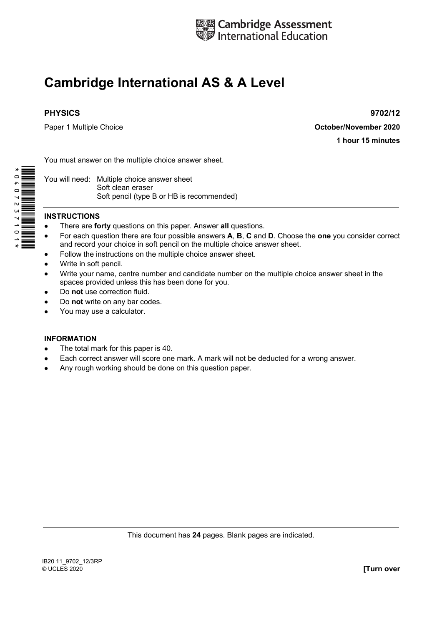

# **Cambridge International AS & A Level**

# **PHYSICS 9702/12**

Paper 1 Multiple Choice **October/November 2020 1 hour 15 minutes** 

You must answer on the multiple choice answer sheet.

You will need: Multiple choice answer sheet Soft clean eraser Soft pencil (type B or HB is recommended)

#### **INSTRUCTIONS**

- There are **forty** questions on this paper. Answer **all** questions.
- For each question there are four possible answers **A**, **B**, **C** and **D**. Choose the **one** you consider correct and record your choice in soft pencil on the multiple choice answer sheet.
- Follow the instructions on the multiple choice answer sheet.
- Write in soft pencil.
- Write your name, centre number and candidate number on the multiple choice answer sheet in the spaces provided unless this has been done for you.
- Do **not** use correction fluid.
- Do **not** write on any bar codes.
- You may use a calculator.

#### **INFORMATION**

- The total mark for this paper is 40.
- Each correct answer will score one mark. A mark will not be deducted for a wrong answer.
- Any rough working should be done on this question paper.

This document has **24** pages. Blank pages are indicated.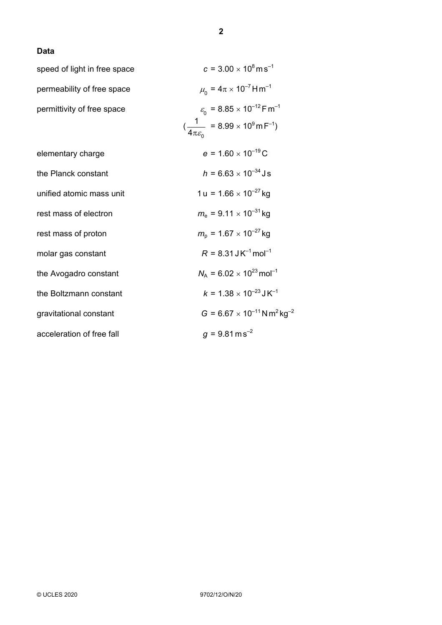### **Data**

| speed of light in free space | $c = 3.00 \times 10^8 \text{ m s}^{-1}$                                      |
|------------------------------|------------------------------------------------------------------------------|
| permeability of free space   | $\mu_{0} = 4\pi \times 10^{-7}$ H m <sup>-1</sup>                            |
| permittivity of free space   | $\varepsilon_{0}$ = 8.85 × 10 <sup>-12</sup> F m <sup>-1</sup>               |
|                              | $(\frac{1}{4\pi \varepsilon_0}$ = 8.99 × 10 <sup>9</sup> m F <sup>-1</sup> ) |
| elementary charge            | $e = 1.60 \times 10^{-19}$ C                                                 |
| the Planck constant          | $h = 6.63 \times 10^{-34}$ Js                                                |
| unified atomic mass unit     | $1 u = 1.66 \times 10^{-27}$ kg                                              |
| rest mass of electron        | $m_e = 9.11 \times 10^{-31}$ kg                                              |
| rest mass of proton          | $m_{\rm p}$ = 1.67 $\times$ 10 <sup>-27</sup> kg                             |
| molar gas constant           | $R = 8.31 \,\text{J K}^{-1} \,\text{mol}^{-1}$                               |
| the Avogadro constant        | $N_A = 6.02 \times 10^{23}$ mol <sup>-1</sup>                                |
| the Boltzmann constant       | $k = 1.38 \times 10^{-23}$ J K <sup>-1</sup>                                 |
| gravitational constant       | $G = 6.67 \times 10^{-11}$ N m <sup>2</sup> kg <sup>-2</sup>                 |
| acceleration of free fall    | $q = 9.81 \text{ m s}^{-2}$                                                  |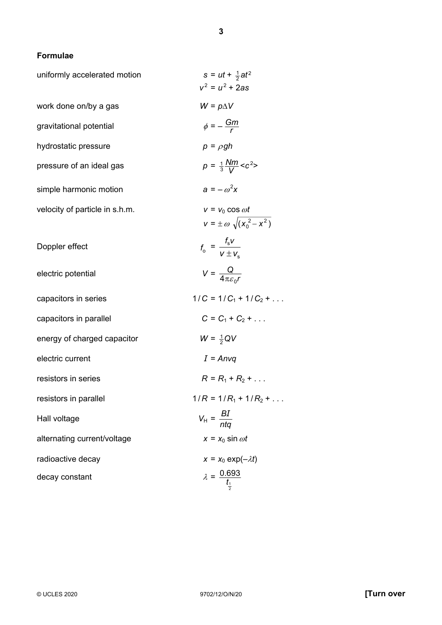**3**

# **Formulae**

| uniformly accelerated motion   | $s = ut + \frac{1}{2}at^2$<br>$v^2 = u^2 + 2as$ |
|--------------------------------|-------------------------------------------------|
|                                |                                                 |
| work done on/by a gas          | $W = p\Delta V$                                 |
| gravitational potential        | $\phi = -\frac{Gm}{r}$                          |
| hydrostatic pressure           | $p = \rho gh$                                   |
| pressure of an ideal gas       | $p = \frac{1}{3} \frac{Nm}{V} < c^2$            |
| simple harmonic motion         | $a = -\omega^2 x$                               |
| velocity of particle in s.h.m. | $v = v_0 \cos \omega t$                         |
|                                | $v = \pm \omega \sqrt{(x_0^2 - x^2)}$           |
| Doppler effect                 | $f_o = \frac{r_s v}{v + v}$                     |
| electric potential             | $V = \frac{Q}{4\pi \varepsilon_{\rm s} r}$      |
| capacitors in series           | $1/C = 1/C_1 + 1/C_2 + $                        |
| capacitors in parallel         | $C = C_1 + C_2 + $                              |
| energy of charged capacitor    | $W = \frac{1}{2}QV$                             |
| electric current               | $I = Anvq$                                      |
| resistors in series            | $R = R_1 + R_2 + $                              |
| resistors in parallel          | $1/R = 1/R_1 + 1/R_2 + $                        |
| Hall voltage                   | $V_{\text{H}} = \frac{BI}{nta}$                 |
| alternating current/voltage    | $x = x_0 \sin \omega t$                         |
| radioactive decay              | $x = x_0 \exp(-\lambda t)$                      |
| decay constant                 | $\lambda = \frac{0.693}{t_1}$                   |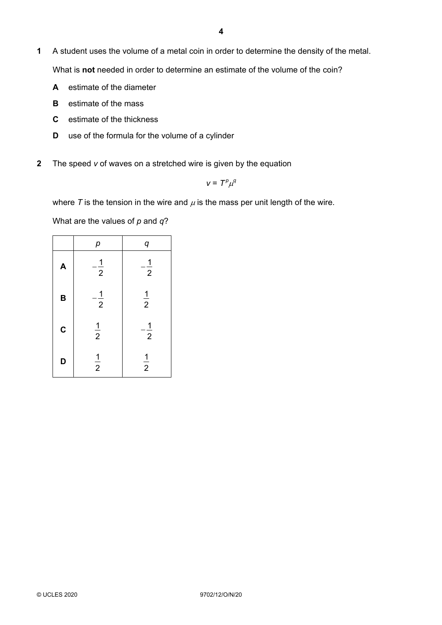- **1** A student uses the volume of a metal coin in order to determine the density of the metal. What is **not** needed in order to determine an estimate of the volume of the coin?
	- **A** estimate of the diameter
	- **B** estimate of the mass
	- **C** estimate of the thickness
	- **D** use of the formula for the volume of a cylinder
- **2** The speed *v* of waves on a stretched wire is given by the equation

 $v = T^p \mu^q$ 

where  $T$  is the tension in the wire and  $\mu$  is the mass per unit length of the wire.

What are the values of *p* and *q*?

|   | р             | q             |
|---|---------------|---------------|
| A | $\frac{1}{2}$ | $\frac{1}{2}$ |
| B | $\frac{1}{2}$ | $\frac{1}{2}$ |
| C | $\frac{1}{2}$ | $\frac{1}{2}$ |
| D | $\frac{1}{2}$ | $\frac{1}{2}$ |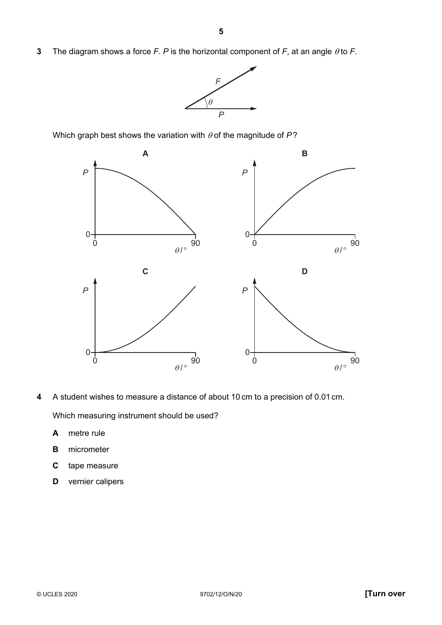**3** The diagram shows a force *F*. *P* is the horizontal component of *F*, at an angle  $\theta$  to *F*.



Which graph best shows the variation with  $\theta$  of the magnitude of  $P$ ?



**4** A student wishes to measure a distance of about 10 cm to a precision of 0.01 cm.

Which measuring instrument should be used?

- **A** metre rule
- **B** micrometer
- **C** tape measure
- **D** vernier calipers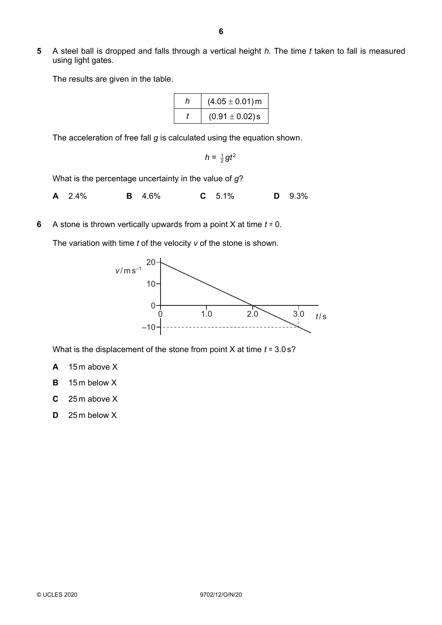**5** A steel ball is dropped and falls through a vertical height *h*. The time *t* taken to fall is measured using light gates.

The results are given in the table.

| $(4.05 \pm 0.01)$ m |  |
|---------------------|--|
| $(0.91 \pm 0.02)s$  |  |

The acceleration of free fall *g* is calculated using the equation shown.

$$
h=\tfrac{1}{2}gt^2
$$

What is the percentage uncertainty in the value of *g*?

**A** 2.4% **B** 4.6% **C** 5.1% **D** 9.3%

**6** A stone is thrown vertically upwards from a point X at time  $t = 0$ .

The variation with time *t* of the velocity *v* of the stone is shown.



What is the displacement of the stone from point X at time  $t = 3.0$  s?

- **A** 15 m above X
- **B** 15 m below X
- **C** 25 m above X
- **D** 25 m below X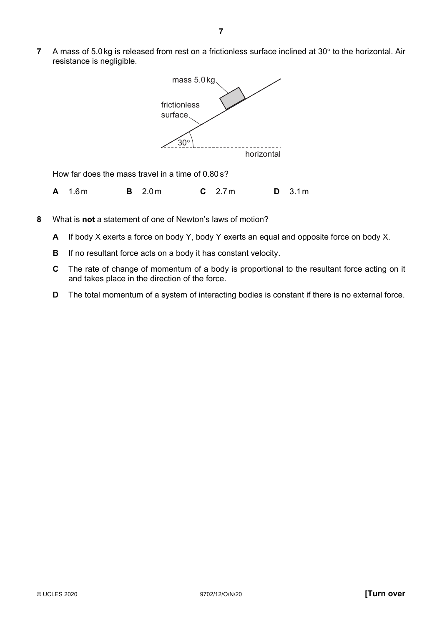**7** A mass of 5.0 kg is released from rest on a frictionless surface inclined at 30° to the horizontal. Air resistance is negligible.



**A** 1.6 m **B** 2.0 m **C** 2.7 m **D** 3.1 m

- **8** What is **not** a statement of one of Newton's laws of motion?
	- **A** If body X exerts a force on body Y, body Y exerts an equal and opposite force on body X.
	- **B** If no resultant force acts on a body it has constant velocity.
	- **C** The rate of change of momentum of a body is proportional to the resultant force acting on it and takes place in the direction of the force.
	- **D** The total momentum of a system of interacting bodies is constant if there is no external force.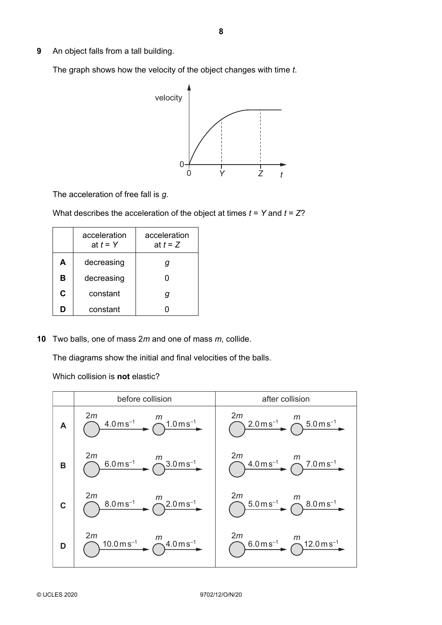**9** An object falls from a tall building.

The graph shows how the velocity of the object changes with time *t*.



The acceleration of free fall is *g*.

What describes the acceleration of the object at times *t* = *Y* and *t* = *Z*?

|   | acceleration<br>at $t = Y$ | acceleration<br>at $t = Z$ |
|---|----------------------------|----------------------------|
| A | decreasing                 | g                          |
| в | decreasing                 | ი                          |
| C | constant                   | g                          |
|   | constant                   |                            |

**10** Two balls, one of mass 2*m* and one of mass *m*, collide.

The diagrams show the initial and final velocities of the balls.

Which collision is **not** elastic?

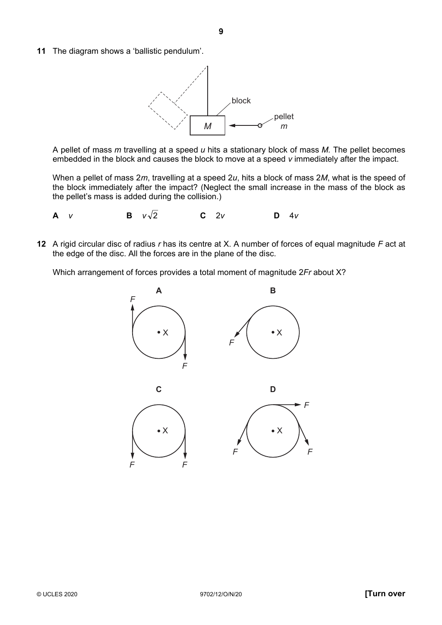**11** The diagram shows a 'ballistic pendulum'.



A pellet of mass *m* travelling at a speed *u* hits a stationary block of mass *M.* The pellet becomes embedded in the block and causes the block to move at a speed *v* immediately after the impact.

When a pellet of mass 2*m*, travelling at a speed 2*u*, hits a block of mass 2*M*, what is the speed of the block immediately after the impact? (Neglect the small increase in the mass of the block as the pellet's mass is added during the collision.)

**A** *v* **B**  $v\sqrt{2}$  **C** 2*v* **D** 4*v* 

**12** A rigid circular disc of radius *r* has its centre at X. A number of forces of equal magnitude *F* act at the edge of the disc. All the forces are in the plane of the disc.

Which arrangement of forces provides a total moment of magnitude 2*Fr* about X?

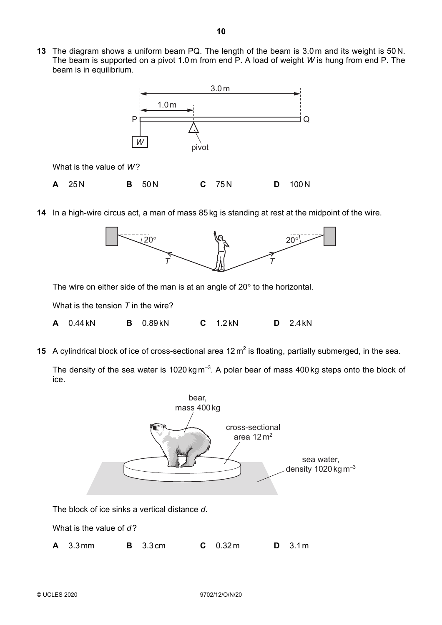**13** The diagram shows a uniform beam PQ. The length of the beam is 3.0 m and its weight is 50 N. The beam is supported on a pivot 1.0 m from end P. A load of weight *W* is hung from end P. The beam is in equilibrium.



What is the value of *W*?

**A** 25N **B** 50N **C** 75N **D** 100N

**14** In a high-wire circus act, a man of mass 85 kg is standing at rest at the midpoint of the wire.



The wire on either side of the man is at an angle of  $20^\circ$  to the horizontal.

What is the tension *T* in the wire?

- **A** 0.44 kN **B** 0.89 kN **C** 1.2 kN **D** 2.4 kN
- **15** A cylindrical block of ice of cross-sectional area 12 $m^2$  is floating, partially submerged, in the sea.

The density of the sea water is 1020 kg m<sup>-3</sup>. A polar bear of mass 400 kg steps onto the block of ice.

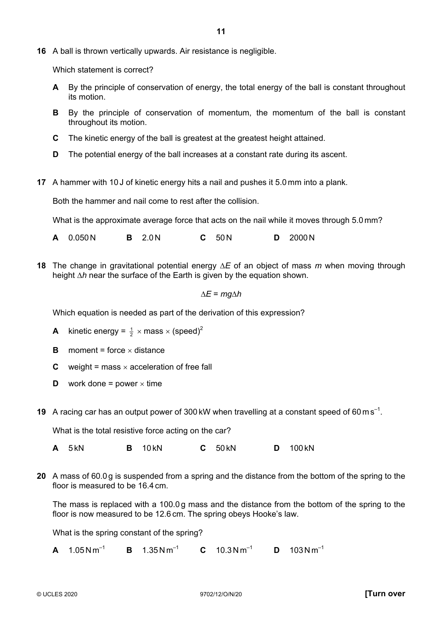Which statement is correct?

- **A** By the principle of conservation of energy, the total energy of the ball is constant throughout its motion.
- **B** By the principle of conservation of momentum, the momentum of the ball is constant throughout its motion.
- **C** The kinetic energy of the ball is greatest at the greatest height attained.
- **D** The potential energy of the ball increases at a constant rate during its ascent.
- **17** A hammer with 10 J of kinetic energy hits a nail and pushes it 5.0 mm into a plank.

Both the hammer and nail come to rest after the collision.

What is the approximate average force that acts on the nail while it moves through 5.0 mm?

**A** 0.050 N **B** 2.0 N **C** 50N **D** 2000N

**18** The change in gravitational potential energy ∆*E* of an object of mass *m* when moving through height ∆*h* near the surface of the Earth is given by the equation shown.

$$
\Delta E = mg\Delta h
$$

Which equation is needed as part of the derivation of this expression?

- **A** kinetic energy =  $\frac{1}{2}$   $\times$  mass  $\times$  (speed)<sup>2</sup>
- **B** moment = force  $\times$  distance
- **C** weight = mass  $\times$  acceleration of free fall
- **D** work done = power  $\times$  time
- **19** A racing car has an output power of 300 kW when travelling at a constant speed of 60 m s<sup>-1</sup>.

What is the total resistive force acting on the car?

**A** 5 kN **B** 10 kN **C** 50 kN **D** 100 kN

**20** A mass of 60.0 g is suspended from a spring and the distance from the bottom of the spring to the floor is measured to be 16.4 cm.

The mass is replaced with a 100.0 g mass and the distance from the bottom of the spring to the floor is now measured to be 12.6 cm. The spring obeys Hooke's law.

What is the spring constant of the spring?

**A** 1.05 N m–1 **B** 1.35 N m–1 **C** 10.3 N m–1 **D** 103N m–1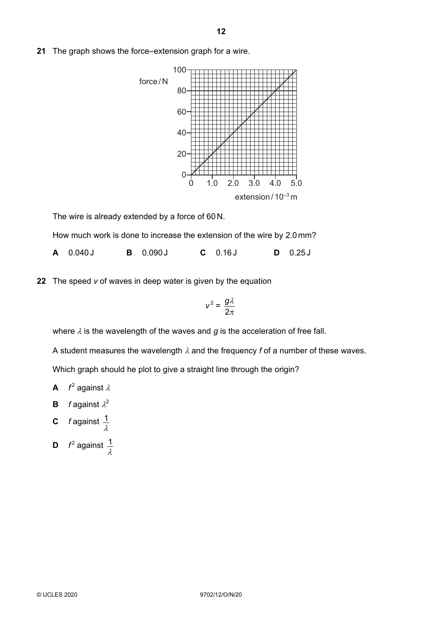**21** The graph shows the force–extension graph for a wire.



The wire is already extended by a force of 60 N.

How much work is done to increase the extension of the wire by 2.0 mm?

**A** 0.040 J **B** 0.090 J **C** 0.16 J **D** 0.25 J

**22** The speed *v* of waves in deep water is given by the equation

$$
v^2 = \frac{g\lambda}{2\pi}
$$

where  $\lambda$  is the wavelength of the waves and  $g$  is the acceleration of free fall.

A student measures the wavelength  $\lambda$  and the frequency  $f$  of a number of these waves.

Which graph should he plot to give a straight line through the origin?

- **A** *f*  $^2$  against  $\lambda$
- **B** *f* against  $\lambda^2$
- **C** *f* against  $\frac{1}{\lambda}$
- **D**  $f^2$  against  $\frac{1}{\lambda}$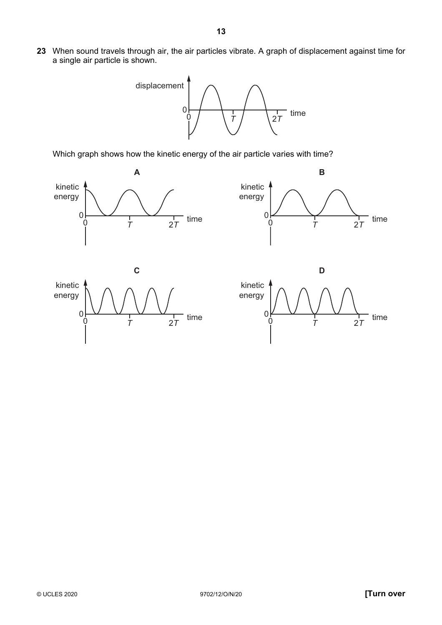**23** When sound travels through air, the air particles vibrate. A graph of displacement against time for a single air particle is shown.



Which graph shows how the kinetic energy of the air particle varies with time?

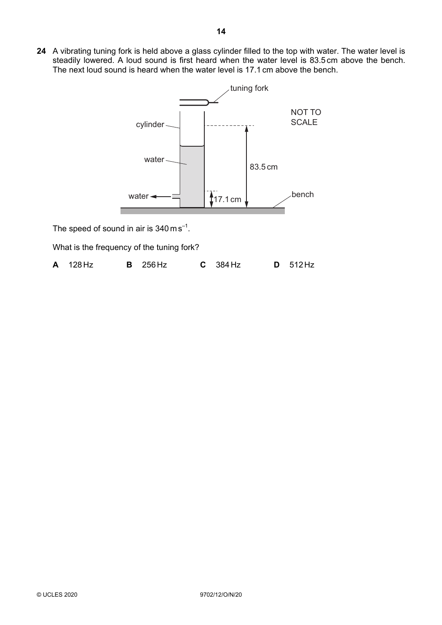**24** A vibrating tuning fork is held above a glass cylinder filled to the top with water. The water level is steadily lowered. A loud sound is first heard when the water level is 83.5 cm above the bench. The next loud sound is heard when the water level is 17.1 cm above the bench.



The speed of sound in air is  $340 \,\mathrm{m\,s}^{-1}$ .

What is the frequency of the tuning fork?

| $A$ 128 Hz | <b>B</b> 256 Hz | $C$ 384 Hz | $D$ 512 Hz |
|------------|-----------------|------------|------------|
|            |                 |            |            |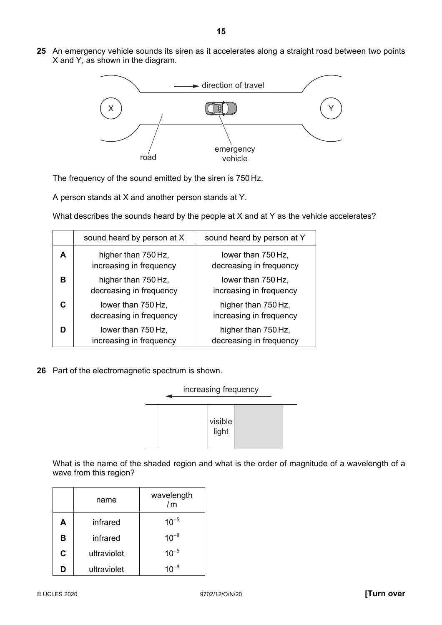**25** An emergency vehicle sounds its siren as it accelerates along a straight road between two points X and Y, as shown in the diagram.



The frequency of the sound emitted by the siren is 750 Hz.

A person stands at X and another person stands at Y.

What describes the sounds heard by the people at X and at Y as the vehicle accelerates?

|   | sound heard by person at X                     | sound heard by person at Y                     |
|---|------------------------------------------------|------------------------------------------------|
| A | higher than 750 Hz,<br>increasing in frequency | lower than 750 Hz,<br>decreasing in frequency  |
| в | higher than 750 Hz,<br>decreasing in frequency | lower than 750 Hz,<br>increasing in frequency  |
| C | lower than 750 Hz,<br>decreasing in frequency  | higher than 750 Hz,<br>increasing in frequency |
| D | lower than 750 Hz,<br>increasing in frequency  | higher than 750 Hz,<br>decreasing in frequency |

**26** Part of the electromagnetic spectrum is shown.



What is the name of the shaded region and what is the order of magnitude of a wavelength of a wave from this region?

|   | name        | wavelength<br>/m |
|---|-------------|------------------|
| А | infrared    | $10^{-5}$        |
| в | infrared    | $10^{-8}$        |
| C | ultraviolet | $10^{-5}$        |
| n | ultraviolet |                  |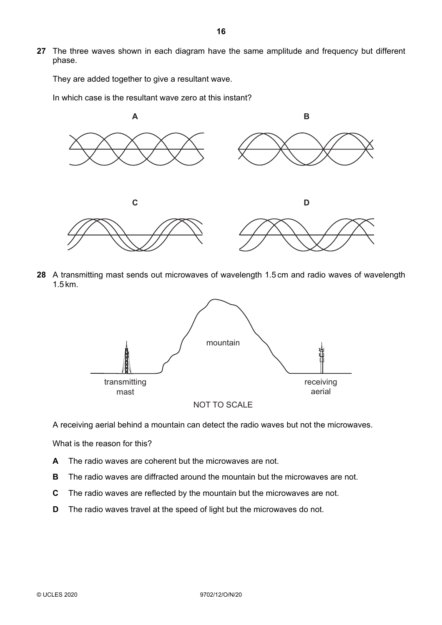**27** The three waves shown in each diagram have the same amplitude and frequency but different phase.

They are added together to give a resultant wave.

In which case is the resultant wave zero at this instant?



**28** A transmitting mast sends out microwaves of wavelength 1.5 cm and radio waves of wavelength 1.5 km.





A receiving aerial behind a mountain can detect the radio waves but not the microwaves.

What is the reason for this?

- **A** The radio waves are coherent but the microwaves are not.
- **B** The radio waves are diffracted around the mountain but the microwaves are not.
- **C** The radio waves are reflected by the mountain but the microwaves are not.
- **D** The radio waves travel at the speed of light but the microwaves do not.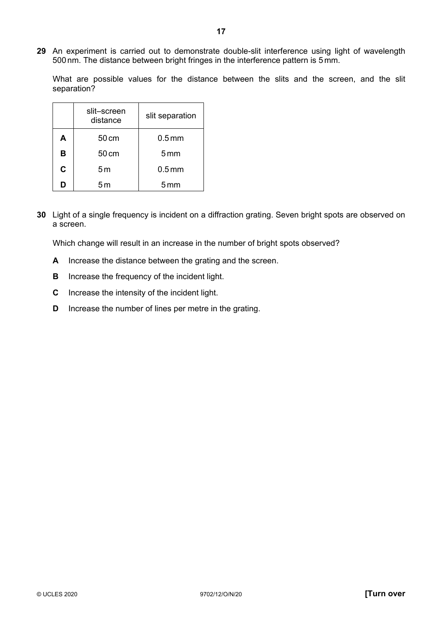**29** An experiment is carried out to demonstrate double-slit interference using light of wavelength 500 nm. The distance between bright fringes in the interference pattern is 5 mm.

What are possible values for the distance between the slits and the screen, and the slit separation?

|    | slit-screen<br>distance | slit separation   |
|----|-------------------------|-------------------|
| А  | 50 cm                   | 0.5 <sub>mm</sub> |
| в  | 50 cm                   | 5 <sub>mm</sub>   |
| C. | 5 <sub>m</sub>          | 0.5 <sub>mm</sub> |
| D  | 5m                      | 5 <sub>mm</sub>   |

**30** Light of a single frequency is incident on a diffraction grating. Seven bright spots are observed on a screen.

Which change will result in an increase in the number of bright spots observed?

- **A** Increase the distance between the grating and the screen.
- **B** Increase the frequency of the incident light.
- **C** Increase the intensity of the incident light.
- **D** Increase the number of lines per metre in the grating.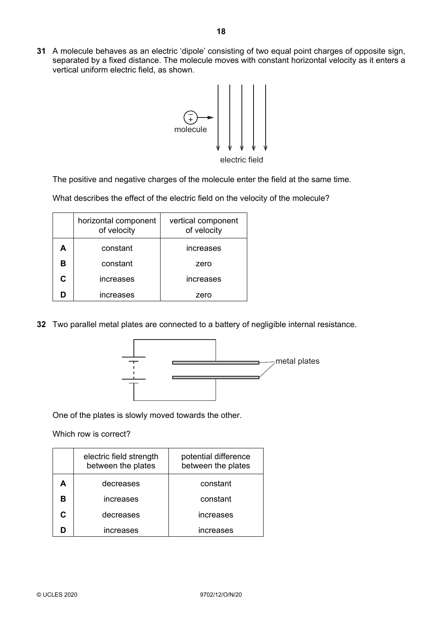**31** A molecule behaves as an electric 'dipole' consisting of two equal point charges of opposite sign, separated by a fixed distance. The molecule moves with constant horizontal velocity as it enters a vertical uniform electric field, as shown.



The positive and negative charges of the molecule enter the field at the same time.

What describes the effect of the electric field on the velocity of the molecule?

|   | horizontal component<br>of velocity | vertical component<br>of velocity |
|---|-------------------------------------|-----------------------------------|
| А | constant                            | increases                         |
| в | constant                            | zero                              |
| C | increases                           | increases                         |
|   | increases                           | zero                              |

**32** Two parallel metal plates are connected to a battery of negligible internal resistance.



One of the plates is slowly moved towards the other.

Which row is correct?

|   | electric field strength<br>between the plates | potential difference<br>between the plates |
|---|-----------------------------------------------|--------------------------------------------|
| А | decreases                                     | constant                                   |
| в | increases                                     | constant                                   |
| c | decreases                                     | increases                                  |
|   | increases                                     | increases                                  |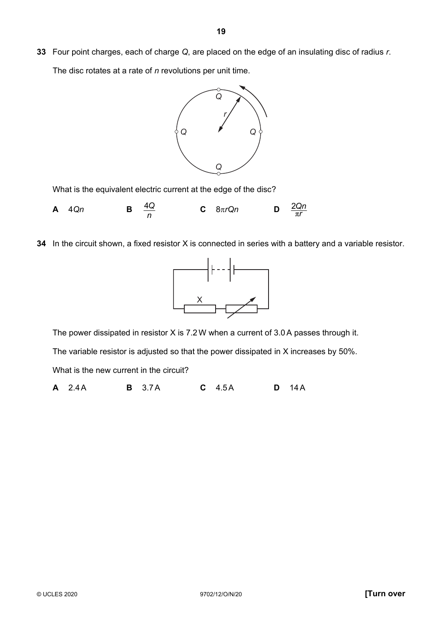**33** Four point charges, each of charge *Q*, are placed on the edge of an insulating disc of radius *r*. The disc rotates at a rate of *n* revolutions per unit time.



What is the equivalent electric current at the edge of the disc?



**34** In the circuit shown, a fixed resistor X is connected in series with a battery and a variable resistor.



The power dissipated in resistor X is 7.2 W when a current of 3.0A passes through it.

The variable resistor is adjusted so that the power dissipated in X increases by 50%.

What is the new current in the circuit?

**A** 2.4A **B** 3.7A **C** 4.5A **D** 14A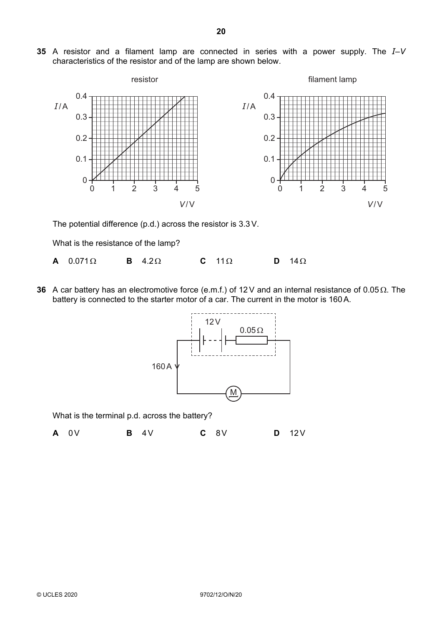**35** A resistor and a filament lamp are connected in series with a power supply. The *I*–*V* characteristics of the resistor and of the lamp are shown below.



The potential difference (p.d.) across the resistor is 3.3V.

What is the resistance of the lamp?

| A $0.071\Omega$ |  |  | <b>B</b> $4.2\Omega$ |  | C $11\Omega$ |  | <b>D</b> 14 $\Omega$ |
|-----------------|--|--|----------------------|--|--------------|--|----------------------|
|-----------------|--|--|----------------------|--|--------------|--|----------------------|

**36** A car battery has an electromotive force (e.m.f.) of 12V and an internal resistance of 0.05  $\Omega$ . The battery is connected to the starter motor of a car. The current in the motor is 160A.



What is the terminal p.d. across the battery?

**A** 0V **B** 4V **C** 8V **D** 12V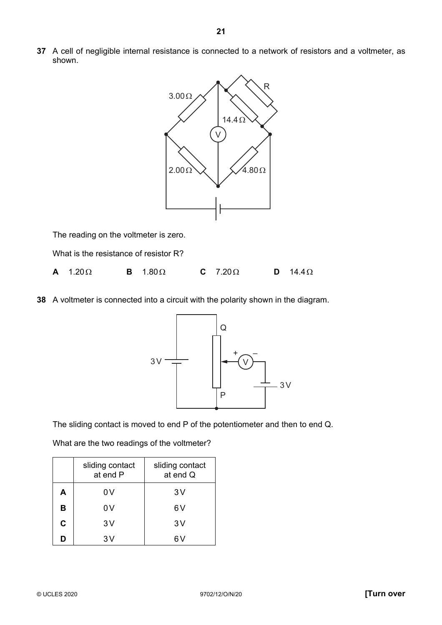**37** A cell of negligible internal resistance is connected to a network of resistors and a voltmeter, as shown.



The reading on the voltmeter is zero.

What is the resistance of resistor R?

| A $1.20 \Omega$ | <b>B</b> 1.80 $\Omega$ | C 7.20 $\Omega$ | D $14.4\Omega$ |
|-----------------|------------------------|-----------------|----------------|
|                 |                        |                 |                |

**38** A voltmeter is connected into a circuit with the polarity shown in the diagram.



The sliding contact is moved to end P of the potentiometer and then to end Q.

What are the two readings of the voltmeter?

|   | sliding contact<br>at end P | sliding contact<br>at end Q |
|---|-----------------------------|-----------------------------|
| А | 0 V                         | 3 V                         |
| в | 0 V                         | 6 V                         |
| C | 3V                          | 3 V                         |
| D | 3V                          | 6 V                         |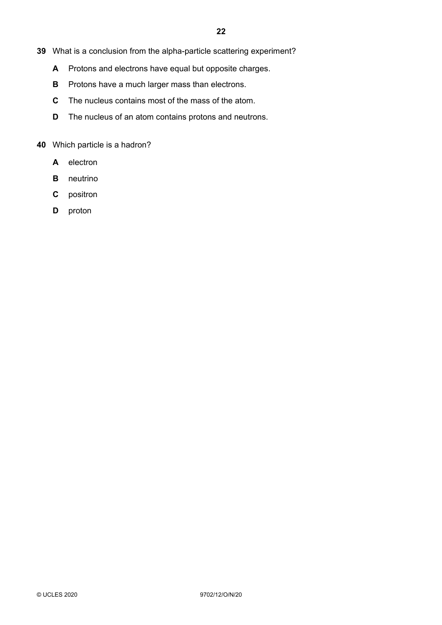- **39** What is a conclusion from the alpha-particle scattering experiment?
	- **A** Protons and electrons have equal but opposite charges.
	- **B** Protons have a much larger mass than electrons.
	- **C** The nucleus contains most of the mass of the atom.
	- **D** The nucleus of an atom contains protons and neutrons.
- **40** Which particle is a hadron?
	- **A** electron
	- **B** neutrino
	- **C** positron
	- **D** proton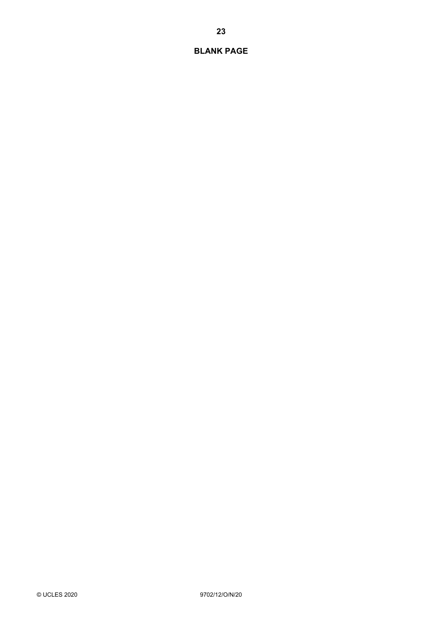# **BLANK PAGE**